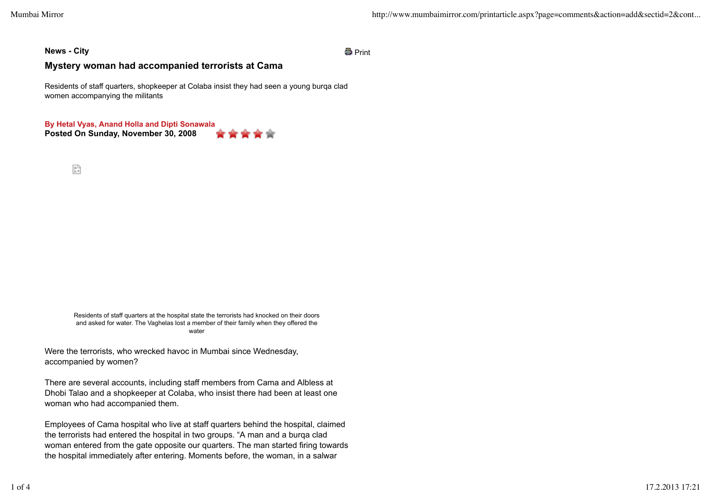## **News - City** Print

## **Mystery woman had accompanied terrorists at Cama**

Residents of staff quarters, shopkeeper at Colaba insist they had seen a young burqa clad women accompanying the militants

**Posted On Sunday, November 30, 2008 By Hetal Vyas, Anand Holla and Dipti Sonawala**

 $\frac{\alpha}{\ln n}$ 

Residents of staff quarters at the hospital state the terrorists had knocked on their doors and asked for water. The Vaghelas lost a member of their family when they offered the water

Were the terrorists, who wrecked havoc in Mumbai since Wednesday, accompanied by women?

There are several accounts, including staff members from Cama and Albless at Dhobi Talao and a shopkeeper at Colaba, who insist there had been at least one woman who had accompanied them.

Employees of Cama hospital who live at staff quarters behind the hospital, claimed the terrorists had entered the hospital in two groups. "A man and a burqa clad woman entered from the gate opposite our quarters. The man started firing towards the hospital immediately after entering. Moments before, the woman, in a salwar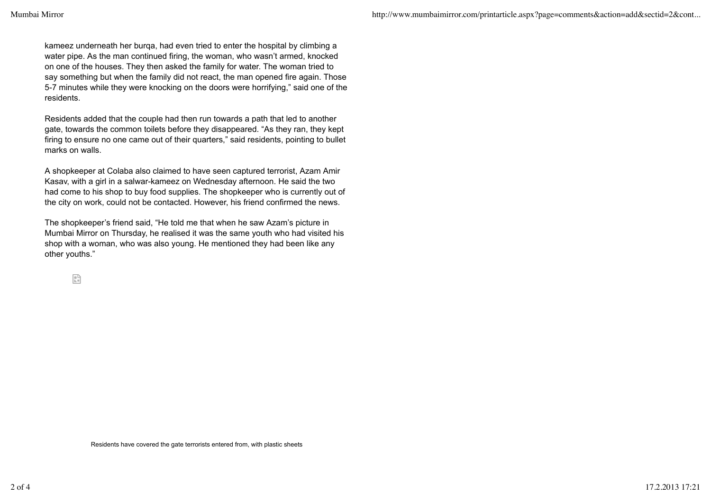kameez underneath her burqa, had even tried to enter the hospital by climbing a water pipe. As the man continued firing, the woman, who wasn't armed, knocked on one of the houses. They then asked the family for water. The woman tried to say something but when the family did not react, the man opened fire again. Those 5-7 minutes while they were knocking on the doors were horrifying," said one of the residents.

Residents added that the couple had then run towards a path that led to another gate, towards the common toilets before they disappeared. "As they ran, they kept firing to ensure no one came out of their quarters," said residents, pointing to bullet marks on walls.

A shopkeeper at Colaba also claimed to have seen captured terrorist, Azam Amir Kasav, with a girl in a salwar-kameez on Wednesday afternoon. He said the two had come to his shop to buy food supplies. The shopkeeper who is currently out of the city on work, could not be contacted. However, his friend confirmed the news.

The shopkeeper's friend said, "He told me that when he saw Azam's picture in Mumbai Mirror on Thursday, he realised it was the same youth who had visited his shop with a woman, who was also young. He mentioned they had been like any other youths."

臂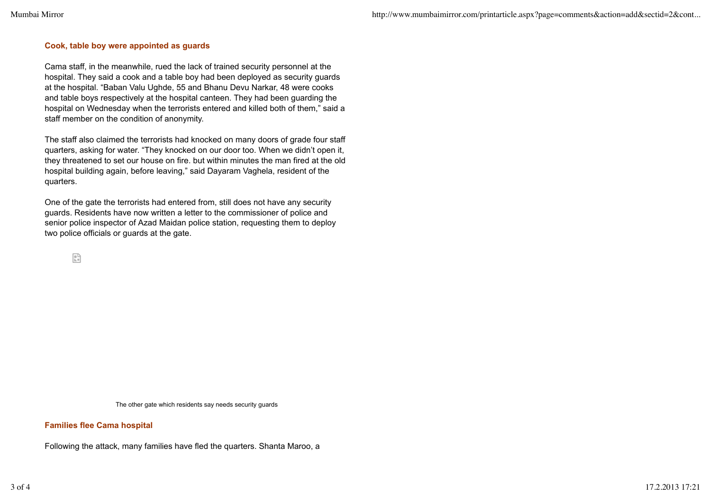## **Cook, table boy were appointed as guards**

Cama staff, in the meanwhile, rued the lack of trained security personnel at the hospital. They said a cook and a table boy had been deployed as security guards at the hospital. "Baban Valu Ughde, 55 and Bhanu Devu Narkar, 48 were cooks and table boys respectively at the hospital canteen. They had been guarding the hospital on Wednesday when the terrorists entered and killed both of them," said a staff member on the condition of anonymity.

The staff also claimed the terrorists had knocked on many doors of grade four staff quarters, asking for water. "They knocked on our door too. When we didn't open it, they threatened to set our house on fire. but within minutes the man fired at the old hospital building again, before leaving," said Dayaram Vaghela, resident of the quarters.

One of the gate the terrorists had entered from, still does not have any security guards. Residents have now written a letter to the commissioner of police and senior police inspector of Azad Maidan police station, requesting them to deploy two police officials or guards at the gate.

臂

The other gate which residents say needs security guards

## **Families flee Cama hospital**

Following the attack, many families have fled the quarters. Shanta Maroo, a